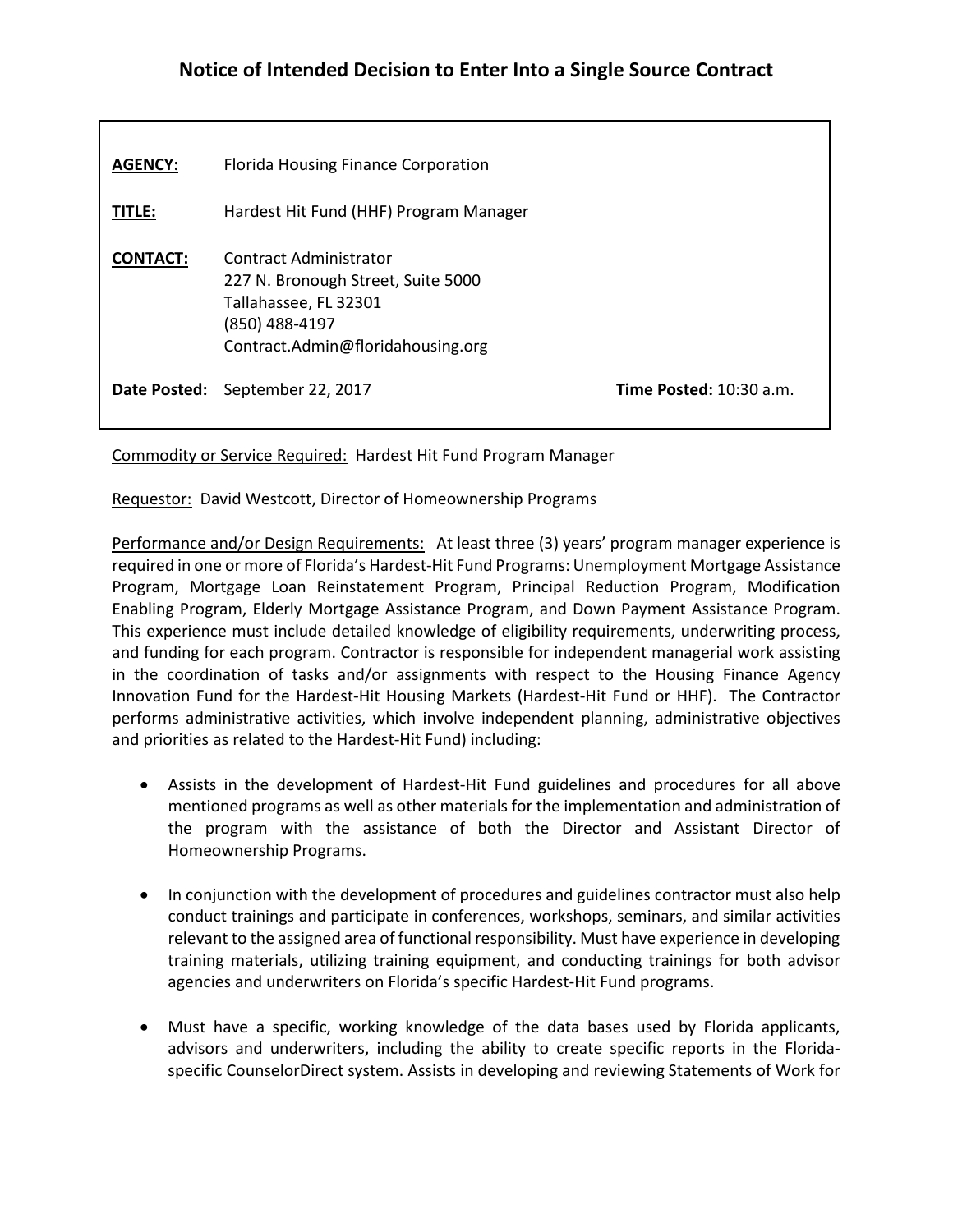## **Notice of Intended Decision to Enter Into a Single Source Contract**

| <b>AGENCY:</b>  | Florida Housing Finance Corporation                                                                                                          |                                  |
|-----------------|----------------------------------------------------------------------------------------------------------------------------------------------|----------------------------------|
| TITLE:          | Hardest Hit Fund (HHF) Program Manager                                                                                                       |                                  |
| <b>CONTACT:</b> | Contract Administrator<br>227 N. Bronough Street, Suite 5000<br>Tallahassee, FL 32301<br>(850) 488-4197<br>Contract.Admin@floridahousing.org |                                  |
|                 | Date Posted: September 22, 2017                                                                                                              | <b>Time Posted:</b> $10:30$ a.m. |

Commodity or Service Required: Hardest Hit Fund Program Manager

Requestor: David Westcott, Director of Homeownership Programs

Performance and/or Design Requirements: At least three (3) years' program manager experience is required in one or more of Florida's Hardest-Hit Fund Programs: Unemployment Mortgage Assistance Program, Mortgage Loan Reinstatement Program, Principal Reduction Program, Modification Enabling Program, Elderly Mortgage Assistance Program, and Down Payment Assistance Program. This experience must include detailed knowledge of eligibility requirements, underwriting process, and funding for each program. Contractor is responsible for independent managerial work assisting in the coordination of tasks and/or assignments with respect to the Housing Finance Agency Innovation Fund for the Hardest-Hit Housing Markets (Hardest-Hit Fund or HHF). The Contractor performs administrative activities, which involve independent planning, administrative objectives and priorities as related to the Hardest-Hit Fund) including:

- Assists in the development of Hardest-Hit Fund guidelines and procedures for all above mentioned programs as well as other materials for the implementation and administration of the program with the assistance of both the Director and Assistant Director of Homeownership Programs.
- In conjunction with the development of procedures and guidelines contractor must also help conduct trainings and participate in conferences, workshops, seminars, and similar activities relevant to the assigned area of functional responsibility. Must have experience in developing training materials, utilizing training equipment, and conducting trainings for both advisor agencies and underwriters on Florida's specific Hardest-Hit Fund programs.
- Must have a specific, working knowledge of the data bases used by Florida applicants, advisors and underwriters, including the ability to create specific reports in the Floridaspecific CounselorDirect system. Assists in developing and reviewing Statements of Work for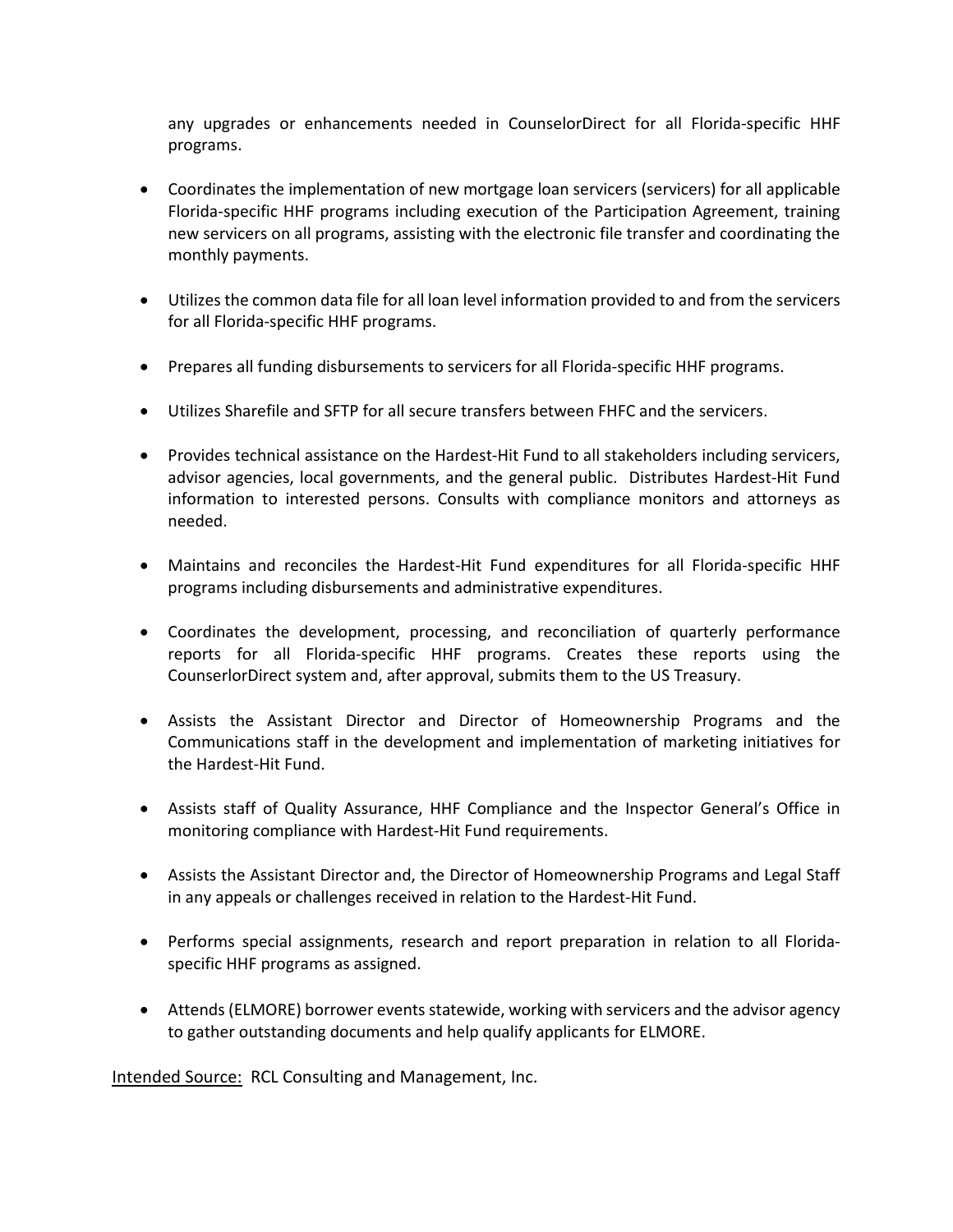any upgrades or enhancements needed in CounselorDirect for all Florida-specific HHF programs.

- Coordinates the implementation of new mortgage loan servicers (servicers) for all applicable Florida-specific HHF programs including execution of the Participation Agreement, training new servicers on all programs, assisting with the electronic file transfer and coordinating the monthly payments.
- Utilizes the common data file for all loan level information provided to and from the servicers for all Florida-specific HHF programs.
- Prepares all funding disbursements to servicers for all Florida-specific HHF programs.
- Utilizes Sharefile and SFTP for all secure transfers between FHFC and the servicers.
- Provides technical assistance on the Hardest-Hit Fund to all stakeholders including servicers, advisor agencies, local governments, and the general public. Distributes Hardest-Hit Fund information to interested persons. Consults with compliance monitors and attorneys as needed.
- Maintains and reconciles the Hardest-Hit Fund expenditures for all Florida-specific HHF programs including disbursements and administrative expenditures.
- Coordinates the development, processing, and reconciliation of quarterly performance reports for all Florida-specific HHF programs. Creates these reports using the CounserlorDirect system and, after approval, submits them to the US Treasury.
- Assists the Assistant Director and Director of Homeownership Programs and the Communications staff in the development and implementation of marketing initiatives for the Hardest-Hit Fund.
- Assists staff of Quality Assurance, HHF Compliance and the Inspector General's Office in monitoring compliance with Hardest-Hit Fund requirements.
- Assists the Assistant Director and, the Director of Homeownership Programs and Legal Staff in any appeals or challenges received in relation to the Hardest-Hit Fund.
- Performs special assignments, research and report preparation in relation to all Floridaspecific HHF programs as assigned.
- Attends (ELMORE) borrower events statewide, working with servicers and the advisor agency to gather outstanding documents and help qualify applicants for ELMORE.

Intended Source: RCL Consulting and Management, Inc.